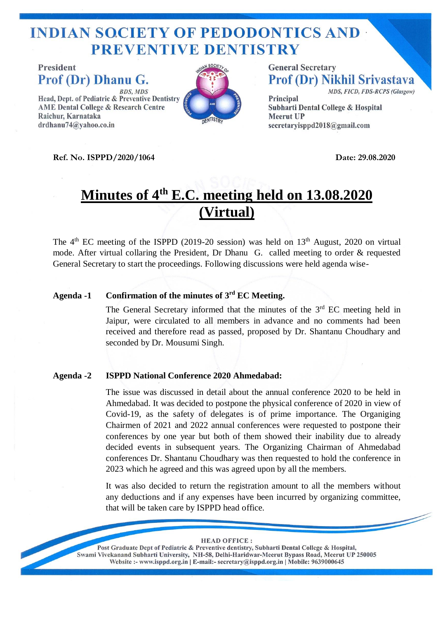# **INDIAN SOCIETY OF PEDODONTICS AND -PREVENTIVE DENTISTRY**

**President** Prof (Dr) Dhanu G. Head, Dept. of Pediatric & Preventive Dentistry **AME Dental College & Research Centre** 

Raichur, Karnataka

drdhanu74@yahoo.co.in



**General Secretary Prof (Dr) Nikhil Srivastava** MDS, FICD, FDS-RCPS (Glasgow)

Principal Subharti Dental College & Hospital **Meerut UP** secretaryisppd2018@gmail.com

**Ref. No. ISPPD/2020/1064** Date: 29.08.2020

# **Minutes of 4th E.C. meeting held on 13.08.2020 (Virtual)**

The  $4<sup>th</sup>$  EC meeting of the ISPPD (2019-20 session) was held on  $13<sup>th</sup>$  August, 2020 on virtual mode. After virtual collaring the President, Dr Dhanu G. called meeting to order & requested General Secretary to start the proceedings. Following discussions were held agenda wise-

### **Agenda -1 Confirmation of the minutes of 3 rd EC Meeting.**

The General Secretary informed that the minutes of the  $3<sup>rd</sup>$  EC meeting held in Jaipur, were circulated to all members in advance and no comments had been received and therefore read as passed, proposed by Dr. Shantanu Choudhary and seconded by Dr. Mousumi Singh.

### **Agenda -2 ISPPD National Conference 2020 Ahmedabad:**

The issue was discussed in detail about the annual conference 2020 to be held in Ahmedabad. It was decided to postpone the physical conference of 2020 in view of Covid-19, as the safety of delegates is of prime importance. The Organiging Chairmen of 2021 and 2022 annual conferences were requested to postpone their conferences by one year but both of them showed their inability due to already decided events in subsequent years. The Organizing Chairman of Ahmedabad conferences Dr. Shantanu Choudhary was then requested to hold the conference in 2023 which he agreed and this was agreed upon by all the members.

It was also decided to return the registration amount to all the members without any deductions and if any expenses have been incurred by organizing committee, that will be taken care by ISPPD head office.

### **HEAD OFFICE:** Post Graduate Dept of Pediatric & Preventive dentistry, Subharti Dental College & Hospital, Swami Vivekanand Subharti University, NH-58, Delhi-Haridwar-Meerut Bypass Road, Meerut UP 250005 Website :- www.isppd.org.in | E-mail:- secretary@isppd.org.in | Mobile: 9639000645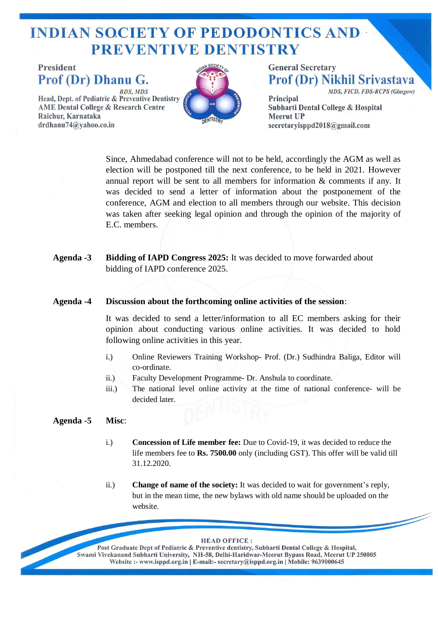# **INDIAN SOCIETY OF PEDODONTICS AND -PREVENTIVE DENTISTRY**

**President** Prof (Dr) Dhanu G. Head, Dept. of Pediatric & Preventive Dentistry **AME Dental College & Research Centre** 

Raichur, Karnataka

drdhanu74@yahoo.co.in



**General Secretary Prof (Dr) Nikhil Srivastava** MDS, FICD, FDS-RCPS (Glasgow)

Principal Subharti Dental College & Hospital **Meerut UP** secretaryisppd2018@gmail.com

Since, Ahmedabad conference will not to be held, accordingly the AGM as well as election will be postponed till the next conference, to be held in 2021. However annual report will be sent to all members for information & comments if any. It was decided to send a letter of information about the postponement of the conference, AGM and election to all members through our website. This decision was taken after seeking legal opinion and through the opinion of the majority of E.C. members.

**Agenda -3 Bidding of IAPD Congress 2025:** It was decided to move forwarded about bidding of IAPD conference 2025.

### **Agenda -4 Discussion about the forthcoming online activities of the session**:

It was decided to send a letter/information to all EC members asking for their opinion about conducting various online activities. It was decided to hold following online activities in this year.

- i.) Online Reviewers Training Workshop- Prof. (Dr.) Sudhindra Baliga, Editor will co-ordinate.
- ii.) Faculty Development Programme- Dr. Anshula to coordinate.
- iii.) The national level online activity at the time of national conference- will be decided later.

#### **Agenda -5 Misc**:

- i.) **Concession of Life member fee:** Due to Covid-19, it was decided to reduce the life members fee to **Rs. 7500.00** only (including GST). This offer will be valid till 31.12.2020.
- ii.) **Change of name of the society:** It was decided to wait for government's reply, but in the mean time, the new bylaws with old name should be uploaded on the website.

#### **HEAD OFFICE:**

Post Graduate Dept of Pediatric & Preventive dentistry, Subharti Dental College & Hospital, Swami Vivekanand Subharti University, NH-58, Delhi-Haridwar-Meerut Bypass Road, Meerut UP 250005 Website :- www.isppd.org.in | E-mail:- secretary@isppd.org.in | Mobile: 9639000645